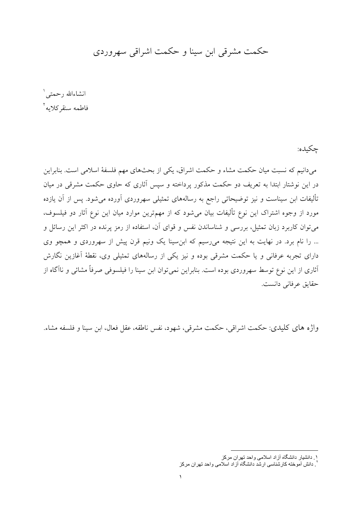# حکمت مشرقی ابن سینا و حکمت اشراقی سهروردی

انشاءالله رحمتي' فاطمه سنقركلايه

چکيده:

میدانیم که نسبت میان حکمت مشاء و حکمت اشراق، یکی از بحثهای مهم فلسفهٔ اسلامی است. بنابراین در این نوشتار ابتدا به تعریف دو حکمت مذکور پرداخته و سپس آثاری که حاوی حکمت مشرقی در میان تألیفات ابن سیناست و نیز توضیحاتی راجع به رسالههای تمثیلی سهروردی آورده می شود. پس از آن یازده مورد از وجوه اشتراک این نوع تألیفات بیان می شود که از مهمترین موارد میان این نوع آثار دو فیلسوف، می توان کاربرد زبان تمثیل، بررسی و شناساندن نفس و قوای آن، استفاده از رمز پرنده در اکثر این رسائل و ... را نام برد. در نهایت به این نتیجه میرسیم که ابن سینا یک ونیم قرن پیش از سهروردی و همچو وی دارای تجربه عرفانی و یا حکمت مشرقی بوده و نیز یکی از رسالههای تمثیلی وی، نقطهٔ آغازین نگارش آثاری از این نوع توسط سهروردی بوده است. بنابراین نمیٍ توان ابن سینا را فیلسوف*ی ص*رفاً مشائ<sub>ف</sub> و ناآگاه از حقايق عرفاني دانست.

واژه های کلیدی: حکمت اشراقی، حکمت مشرقی، شهود، نفس ناطقه، عقل فعال، ابن سینا و فلسفه مشاء.

۱ دانشیار دانشگاه آزاد اسلامی واحد تهران مرکز

<sup>.&</sup>lt;br>`. دانش آمو خته کار شناسی ار شد دانشگاه آز اد اسلامی و احد تهر ان مر کز `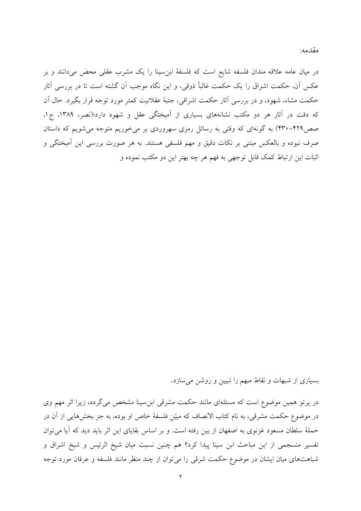در میان عامه علاقه مندان فلسفه شایع است که فلسفهٔ ابن سینا را یک مشرب عقلی محض میدانند و بر عکس آن، حکمت اشراق را یک حکمت غالبأ ذوقی، و این نگاه موجب آن گشته است تا در بررسی آثار حکمت مشاء، شهود، و در بررسی آثار حکمت اشراقی، جنبهٔ عقلانیت کمتر مورد توجه قرار بگیرد. حال آن که دقت در آثار هر دو مکتب نشانههای بسیاری از آمیختگی عقل و شهود دارد؛(نصر، ۱۳۸۹، ج۱، صص۴۲۹–۴۳۰) به گونهای که وقتی به رسائل رمزی سهروردی بر میخوریم متوجه میشویم که داستان صرف نبوده و بالعکس مبتنی بر نکات دقیق و مهم فلسفی هستند. به هر صورت بررسی این آمیختگی و اثبات این ارتباط کمک قابل توجهی به فهم هر چه بهتر این دو مکتب نموده و

بسیاری از شبهات و نقاط مبهم را تبیین و روشن میسازد.

در پرتو همین موضوع است که مسئلهای مانند حکمت مشرقی ابن سینا مشخص می گردد، زیرا اثر مهم وی در موضوع حکمت مشرقی، به نام کتاب الانصاف که مبیّن فلسفهٔ خاص او بوده، به جز بخشهایی از آن در حملهٔ سلطان مسعود غزنوی به اصفهان از بین رفته است. و بر اساس بقایای این اثر باید دید که آیا می توان تفسير منسجمي از اين مباحث ابن سينا پيدا كرد؟ هم چنين نسبت ميان شيخ الرئيس و شيخ اشراق و شباهتهای میان ایشان در موضوع حکمت شرقی را میتوان از چند منظر مانند فلسفه و عرفان مورد توجه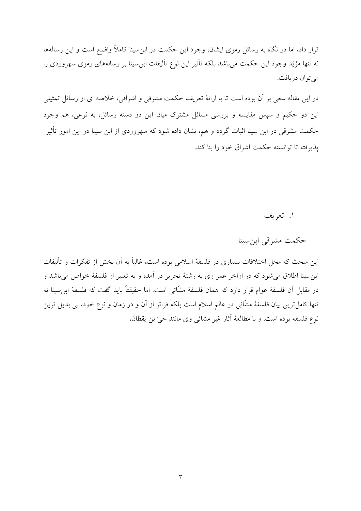قرار داد، اما در نگاه به رسائل رمزی ایشان، وجود این حکمت در ابن سینا کاملاً واضح است و این رسالهها نه تنها مؤیّد وجود این حکمت میباشد بلکه تأثیر این نوع تألیفات ابنِ سینا بر رسالههای رمزی سهروردی را مي توان دريافت.

در این مقاله سعی بر آن بوده است تا با ارائهٔ تعریف حکمت مشرقی و اشراقی، خلاصه ای از رسائل تمثیلی این دو حکیم و سپس مقایسه و بررسی مسائل مشترک میان این دو دسته رسائل، به نوعی، هم وجود حکمت مشرقی در ابن سینا اثبات گردد و هم، نشان داده شود که سهروردی از ابن سینا در این امور تأثیر يذيرفته تا توانسته حكمت اشراق خود را بنا كند.

۱. تعریف

حکمت مشرقی ابن سینا

این مبحث که محل اختلافات بسیاری در فلسفهٔ اسلامی بوده است، غالباً به آن بخش از تفکرات و تألیفات ابن سينا اطلاق مي شود كه در اواخر عمر وي به رشتهٔ تحرير در آمده و به تعبير او فلسفهٔ خواص مي باشد و در مقابل أن فلسفهٔ عوام قرار دارد که همان فلسفهٔ مشَّائی است. اما حقیقتاً باید گفت که فلسفهٔ ابن سینا نه تنها کامل ترین بیان فلسفهٔ مشّائی در عالم اسلام است بلکه فراتر از آن و در زمان و نوع خود، بی بدیل ترین نوع فلسفه بوده است. و با مطالعهٔ آثار غیر مشائی وی مانند حیّ بن یقظان،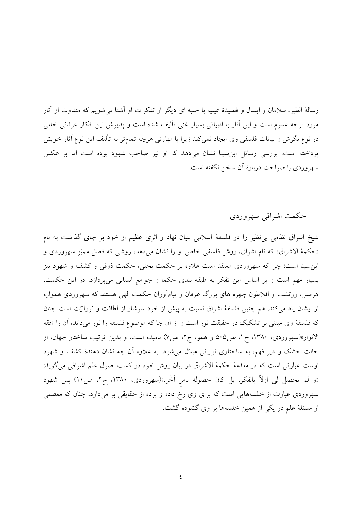رسالهٔ الطیر، سلامان و ابسال و قصیدهٔ عینیه با جنبه ای دیگر از تفکرات او آشنا می شویم که متفاوت از آثار مورد توجه عموم است و این آثار با ادبیاتی بسیار غنی تألیف شده است و پذیرش این افکار عرفانی خللی در نوع نگرش و بیانات فلسفی وی ایجاد نمیکند زیرا با مهارتی هرچه تمامتر به تألیف این نوع آثار خویش پرداخته است. بررسی رسائل ابن سینا نشان میدهد که او نیز صاحب شهود بوده است اما بر عکس سهروردي با صراحت دربارهٔ أن سخن نگفته است.

# حکمت اشراقی سهروردی

شیخ اشراق نظامی بی نظیر را در فلسفهٔ اسلامی بنیان نهاد و اثری عظیم از خود بر جای گذاشت به نام «حكمهٔ الاشراق» كه نام اشراق، روش فلسفى خاص او را نشان مى دهد، روشى كه فصل مميّز سهروردى و ابن سینا است؛ چرا که سهروردی معتقد است علاوه بر حکمت بحثی، حکمت ذوقی و کشف و شهود نیز بسیار مهم است و بر اساس این تفکر به طبقه بندی حکما و جوامع انسانی میپردازد. در این حکمت، هرمس، زرتشت و افلاطون چهره های بزرگ عرفان و پیامآوران حکمت الهی هستند که سهروردی همواره از ایشان یاد می کند. هم چنین فلسفهٔ اشراق نسبت به پیش از خود سرشار از لطافت و نورانیّت است چنان که فلسفهٔ وی مبتنی بر تشکیک در حقیقت نور است و از آن جا که موضوع فلسفه را نور میداند، آن را «فقه الانوار»(سهروردی، ۱۳۸۰، ج۱، ص۵۰۵ و همو، ج۲، ص۷) نامیده است، و بدین ترتیب ساختار جهان، از حالت خشک و دیر فهم، به ساختاری نورانی مبدل میشود. به علاوه آن چه نشان دهندهٔ کشف و شهود اوست عبارتی است که در مقدمهٔ حکمهٔ الاشراق در بیان روش خود در کسب اصول علم اشراقی می گوید: «و لم يحصل لي اولاً بالفكر، بل كان حصوله بامر آخَر.»(سهروردي، ١٣٨٠، ج٢، ص١٠) پس شهود سهروردی عبارت از خلسههایی است که برای وی رخ داده و پرده از حقایقی بر میدارد، چنان که معضلی از مسئلهٔ علم در یکی از همین خلسهها بر وی گشوده گشت.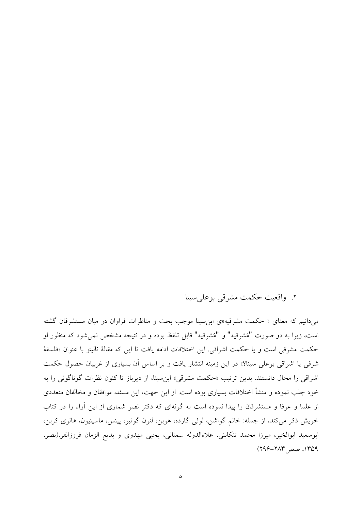## ٢. واقعیت حکمت مشرقی بوعلی سینا

می دانیم که معنای « حکمت مشرقیه»ی ابن سینا موجب بحث و مناظرات فراوان در میان مستشرقان گشته است، زيرا به دو صورت "مَشرقيه" و "مُشرقيه" قابل تلفظ بوده و در نتيجه مشخص نمي شود كه منظور او حکمت مشرقی است و یا حکمت اشراقی. این اختلافات ادامه یافت تا این که مقالهٔ نالینو با عنوان «فلسفهٔ شرقی یا اشراقی بوعلی سینا؟» در این زمینه انتشار یافت و بر اساس آن بسیاری از غربیان حصول حکمت اشراقی را محال دانستند. بدین ترتیب «حکمت مشرقی» ابن سینا، از دیرباز تا کنون نظرات گوناگونی را به خود جلب نموده و منشأ اختلافات بسیاری بوده است. از این جهت، این مسئله موافقان و مخالفان متعددی از علما و عرفا و مستشرقان را پیدا نموده است به گونهای که دکتر نصر شماری از این آراء را در کتاب خويش ذكر مي كند، از جمله: خانم گواشن، لوئي گارده، هوبن، لئون گوتير، پينس، ماسينيون، هانري كربن، ابوسعيد ابوالخير، ميرزا محمد تنكابني، علاءالدوله سمناني، يحيى مهدوى و بديع الزمان فروزانفر (نصر،  $(199 - 717 - 1709)$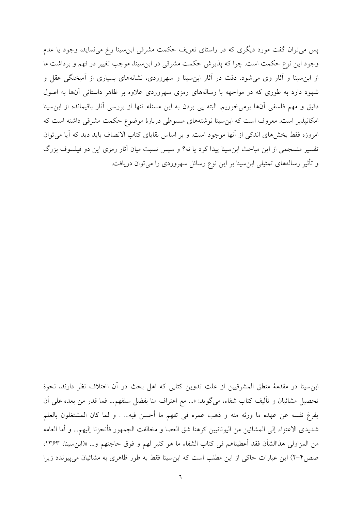پس میتوان گفت مورد دیگری که در راستای تعریف حکمت مشرقی ابنِسینا رخ میفماید، وجود یا عدم وجود این نوع حکمت است. چرا که پذیرش حکمت مشرقی در ابن سینا، موجب تغییر در فهم و برداشت ما از ابنِ سینا و آثار وی می شود. دقت در آثار ابنِ سینا و سهروردی، نشانههای بسیاری از آمیختگی عقل و شهود دارد به طوری که در مواجهه با رسالههای رمزی سهروردی علاوه بر ظاهر داستانی آنها به اصول دقیق و مهم فلسفی آنها برمیخوریم. البته پی بردن به این مسئله تنها از بررسی آثار باقیمانده از ابن سینا امکانپذیر است. معروف است که ابن سینا نوشتههای مبسوطی دربارهٔ موضوع حکمت مشرقی داشته است که امروزه فقط بخشهای اندکی از آنها موجود است. و بر اساس بقایای کتاب الانصاف باید دید که آیا می توان تفسیر منسجمی از این مباحث ابن سینا پیدا کرد یا نه؟ و سپس نسبت میان آثار رمزی این دو فیلسوف بزرگ و تأثیر رسالههای تمثیلی ابن سینا بر این نوع رسائل سهروردی را می توان دریافت.

ابن سينا در مقدمهٔ منطق المشرقيين از علت تدوين كتابي كه اهل بحث در آن اختلاف نظر دارند، نحوهٔ تحصيل مشائيان و تأليف كتاب شفاء، مي گويد: «... مع اعتراف منا بفضل سلفهم... فما قدر من بعده على أن يفرغ نفسه عن عهده ما ورثه منه و ذهب عمره في تفهم ما أحسن فيه... . و لما كان المشتغلون بالعلم شديدي الاعتزاء إلى المشائين من اليونانيين كرهنا شق العصا و مخالفت الجمهور فأنحزنا إليهم... و أما العامه من المزاولي هذاالشأن فقد أعطيناهم في كتاب الشفاء ما هو كثيرٍ لهم و فوقٍ حاجتهم و… »(ابنِ سينا، ١٣۶٣، صص۴-۲) این عبارات حاکی از این مطلب است که ابن سینا فقط به طور ظاهری به مشائیان می پیوندد زیرا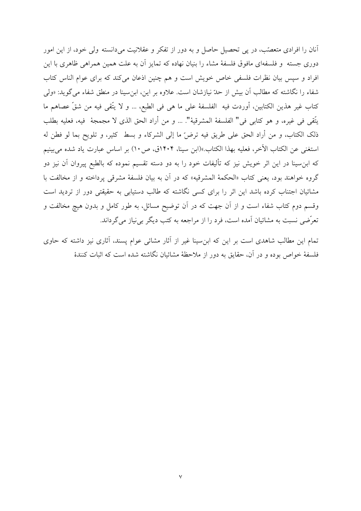آنان را افرادی متعصّب، در پی تحصیل حاصل و به دور از تفکر و عقلانیت میدانسته ولی خود، از این امور دوری جسته ً و فلسفهای مافوق فلسفهٔ مشاء را بنیان نهاده که تمایز آن به علت همین همراهی ظاهری با این افراد و سپس بیان نظرات فلسفی خاص خویش است و هم چنین اذعان می کند که برای عوام الناس کتاب شفاء را نگاشته که مطالب آن بیش از حدّ نیازشان است. علاوه بر این، ابن سینا در منطق شفاء می گوید: «ولی كتاب غير هذين الكتابين، أوردت فيه الفلسفة على ما هي في الطبع، … و لا يتّقى فيه من شقّ عصاهم ما يتَّقى في غيره، و هو كتابي في" الفلسفة المشرقية". … و من أراد الحق الذي لا مجمجة فيه، فعليه بطلب ذلک الکتاب، و من أراد الحق على طريق فيه ترضَّ ما إلى الشركاء و بسط كثير، و تلويح بما لو فطن له استغنى عن الكتاب الآخر، فعليه بهذا الكتاب.»(ابن سينا، ١٤٠۴ق، ص١٠) بر اساس عبارت ياد شده مي بينيم که ابن سینا در این اثر خویش نیز که تألیفات خود را به دو دسته تقسیم نموده که بالطبع پیروان آن نیز دو گروه خواهند بود، يعني كتاب «الحكمهٔ المشرقيه» كه در آن به بيان فلسفهٔ مشرقي پرداخته و از مخالفت با مشائیان اجتناب کرده باشد این اثر را برای کسی نگاشته که طالب دستیابی به حقیقتی دور از تردید است وقسم دوم کتاب شفاء است و از آن جهت که در آن توضیح مسائل، به طور کامل و بدون هیچ مخالفت و تعرَّضي نسبت به مشائيان آمده است، فرد را از مراجعه به كتب ديگر بي نياز مي گرداند.

تمام این مطالب شاهدی است بر این که ابن سینا غیر از آثار مشائی عوام پسند، آثاری نیز داشته که حاوی فلسفهٔ خواص بوده و در آن، حقایق به دور از ملاحظهٔ مشائیان نگاشته شده است که اثبات کنندهٔ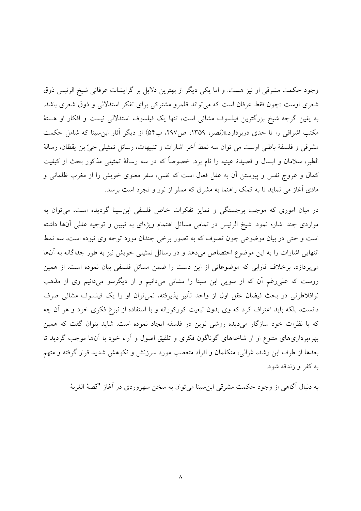وجود حکمت مشرقی او نیز هست. و اما یکی دیگر از بهترین دلایل بر گرایشات عرفانی شیخ الرئیس ذوق شعری اوست «چون فقط عرفان است که می تواند قلمرو مشترکی برای تفکر استدلالی و ذوق شعری باشد. به يقين گرچه شيخ بزرگترين فيلسوف مشائي است، تنها يک فيلسوف استدلالي نيست و افکار او هستهٔ مکتب اشراقی را تا حدی دربردارد.»(نصر، ۱۳۵۹، ص۲۹۷، پ۵۴) از دیگر آثار ابن سینا که شامل حکمت مشرقي و فلسفهٔ باطني اوست مي توان سه نمط آخر اشارات و تنبيهات، رسائل تمثيلي حيّ بن يقظان، رسالهٔ الطیر، سلامان و ابسال و قصیدهٔ عینیه را نام برد. خصوصاً که در سه رسالهٔ تمثیلی مذکور بحث از کیفیت کمال و عروج نفس و پیوستن آن به عقل فعال است که نفس، سفر معنوی خویش را از مغرب ظلمانی و مادی آغاز می نماید تا به کمک راهنما به مشرق که مملو از نور و تجرد است برسد.

در میان اموری که موجب برجستگی و تمایز تفکرات خاص فلسفی ابن سینا گردیده است، می توان به مواردی چند اشاره نمود. شیخ الرئیس در تمامی مسائل اهتمام ویژهای به تبیین و توجیه عقلی آنها داشته است و حتی در بیان موضوعی چون تصوف که به تصور برخی چندان مورد توجه وی نبوده است، سه نمط انتهایی اشارات را به این موضوع اختصاص میدهد و در رسائل تمثیلی خویش نیز به طور جداگانه به آنها میپردازد، برخلاف فارابی که موضوعاتی از این دست را ضمن مسائل فلسفی بیان نموده است. از همین روست که علی رغم آن که از سویی ابن سینا را مشائی میدانیم و از دیگرسو میدانیم وی از مذهب نوافلاطونی در بحث فیضان عقل اول از واحد تأثیر پذیرفته، نمی توان او را یک فیلسوف مشائی صرف دانست، بلکه باید اعتراف کرد که وی بدون تبعیت کورکورانه و با استفاده از نبوغ فکری خود و هر آن چه که با نظرات خود سازگار میدیده روشی نوین در فلسفه ایجاد نموده است. شاید بتوان گفت که همین بهرهبرداریهای متنوع او از شاخههای گوناگون فکری و تلفیق اصول و آراء خود با آنها موجب گردید تا بعدها از طرف ابن رشد، غزالی، متکلمان و افراد متعصب مورد سرزنش و نکوهش شدید قرار گرفته و متهم به کفر و زندقه شود.

به دنبال آگاهی از وجود حکمت مشرقی ابن سینا می توان به سخن سهروردی در آغاز "قصهٔ الغربهٔ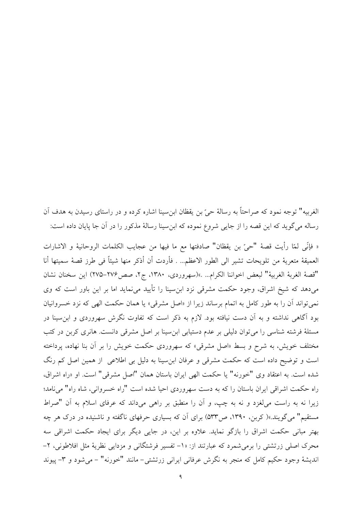الغربيه" توجه نمود كه صراحتاً به رسالهٔ حيّ بن يقظان ابنِ سينا اشاره كرده و در راستاي رسيدن به هدف آن رساله میگوید که این قصه را از جایی شروع نموده که ابن سینا رسالهٔ مذکور را در آن جا پایان داده است:

« فإنِّي لمّا رأيت قصهْ "حيّ بن يقظان" صادفتها مع ما فيها من عجايب الكلمات الروحانية و الاشارات العميقة متعرية من تلويحات تشير الى الطور الاعظم... . فأردت أن أذكر منها شيئاً في طرز قصة سميتها أنا "قصة الغربة الغربية" لبعض اخواننا الكرام... .»(سهروردي، ١٣٨٠، ج٢، صص٢٧۶–٢٧۵) اين سخنان نشان می دهد که شیخ اشراق، وجود حکمت مشرقی نزد ابن سینا را تأیید می نماید اما بر این باور است که وی نمی تواند آن را به طور کامل به اتمام برساند زیرا از «اصل مشرقی» یا همان حکمت الهی که نزد خسروانیان بود آگاهی نداشته و به آن دست نیافته بود. لازم به ذکر است که تفاوت نگرش سهروردی و ابن سینا در مسئلهٔ فرشته شناسی را می توان دلیلی بر عدم دستیابی ابن سینا بر اصل مشرقی دانست. هانری کربن در کتب مختلف خویش، به شرح و بسط «اصل مشرقی» که سهروردی حکمت خویش را بر آن بنا نهاده، پرداخته است و توضیح داده است که حکمت مشرقی و عرفان ابن سینا به دلیل بی اطلاعی از همین اصل کم رنگ شده است. به اعتقاد وي "خورنه" يا حكمت الهي ايران باستان همان "اصل مشرقي" است. او «راه اشراق، راه حکمت اشراقی ایران باستان را که به دست سهروردی احیا شده است "راه خسروانی، شاه راه" می نامد؛ زیرا نه به راست میلغزد و نه به چپ، و آن را منطبق بر راهی میداند که عرفای اسلام به آن "صراط مستقیم" میگویند.»(کربن، ۱۳۹۰، ص۵۳۳) برای آن که بسیاری حرفهای ناگفته و ناشنیده در درک هر چه بهتر مبانی حکمت اشراق را بازگو نماید. علاوه بر این، در جایی دیگر برای ایجاد حکمت اشراقی سه محرک اصلی زرتشتی را برمی شمرد که عبارتند از: «١– تفسیر فرشتگانی و مزدایی نظریهٔ مثل افلاطونی، ٢-اندیشهٔ وجود حکیم کامل که منجر به نگرش عرفانی ایرانی زرتشتی– مانند "خورنه" – میشود و ۳- پیوند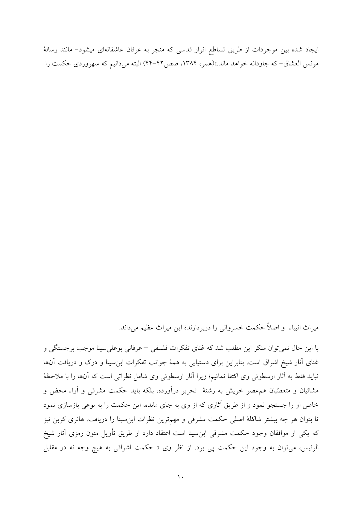ایجاد شده بین موجودات از طریق تساطع انوار قدسی که منجر به عرفان عاشقانهای میشود- مانند رسالهٔ مونس العشاق- که جاودانه خواهد ماند.»(همو، ۱۳۸۴، صص۲۲-۴۲) البته می دانیم که سهروردی حکمت را

میراث انبیاء و اصلاً حکمت خسروانی را دربردارندهٔ این میراث عظیم میداند.

با اين حال نمي توان منكر اين مطلب شد كه غناي تفكرات فلسفى – عرفاني بوعلى سينا موجب برجستگي و غنای آثار شیخ اشراق است. بنابراین برای دستیابی به همهٔ جوانب تفکرات ابنِسینا و درک و دریافت آنها نبايد فقط به أثار ارسطوئي وي اكتفا نمائيم؛ زيرا أثار ارسطوئي وي شامل نظراتي است كه أنها را با ملاحظهٔ مشائیان و متعصّبان همءصر خویش به رشتهٔ تحریر درآورده، بلکه باید حکمت مشرقی و آراء محض و خاص او را جستجو نمود و از طریق آثاری که از وی به جای مانده، این حکمت را به نوعی بازسازی نمود تا بتوان هر چه بیشتر شاکلهٔ اصلی حکمت مشرقی و مهمترین نظرات ابن سینا را دریافت. هانری کربن نیز که یکی از موافقان وجود حکمت مشرقی ابنِسینا است اعتقاد دارد از طریق تأویل متون رمزی آثار شیخ الرئيس، مي توان به وجود اين حكمت پي برد. از نظر وي « حكمت اشراقي به هيچ وجه نه در مقابل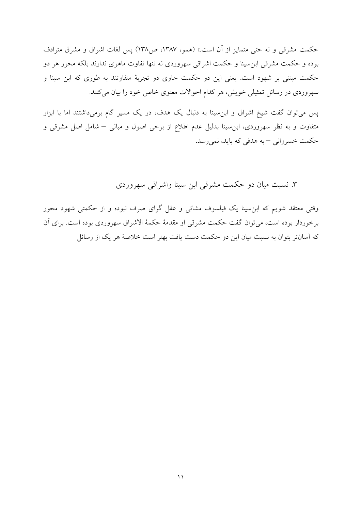حکمت مشرقی و نه حتی متمایز از آن است.» (همو، ۱۳۸۷، ص۱۳۸) پس لغات اشراق و مشرق مترادف بوده و حکمت مشرقی ابن سینا و حکمت اشراقی سهروردی نه تنها تفاوت ماهوی ندارند بلکه محور هر دو حکمت مبتنی بر شهود است. یعنی این دو حکمت حاوی دو تجربهٔ متفاوتند به طوری که ابن سینا و سهروردی در رسائل تمثیلی خویش، هر کدام احوالات معنوی خاص خود را بیان می کنند.

پس میتوان گفت شیخ اشراق و ابن سینا به دنبال یک هدف، در یک مسیر گام برمیداشتند اما با ابزار متفاوت و به نظر سهروردی، ابن سینا بدلیل عدم اطلاع از برخی اصول و مبانی – شامل اصل مشرقی و حکمت خسرواني –به هدفي که بايد، نمي رسد.

۳. نسبت میان دو حکمت مشرقی ابن سینا واشراقی سهروردی

وقتی معتقد شویم که ابنِ سینا یک فیلسوف مشائی و عقل گرای صرف نبوده و از حکمتی شهود محور برخوردار بوده است، مي توان گفت حكمت مشرقي او مقدمهٔ حكمهٔ الاشراق سهروردي بوده است. براي آن که آسانتر بتوان به نسبت میان این دو حکمت دست یافت بهتر است خلاصهٔ هر یک از رسائل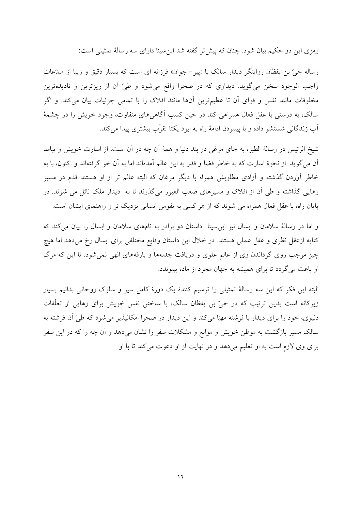رمزی این دو حکیم بیان شود. چنان که پیش تر گفته شد ابن سینا دارای سه رسالهٔ تمثیلی است:

رساله حيّ بن يقظان روايتگر ديدار سالک با «پير – جوان» فرزانه اي است که بسيار دقيق و زيبا از مب*دعا*ت واجب الوجود سخن مي گويد. ديداري كه در صحرا واقع مي شود و طيّ آن از ريزترين و ناديدهترين مخلوقات مانند نفس و قواي آن تا عظيم ترين آنها مانند افلاک را با تمامي جزئيات بيان مي کند. و اگر سالک، به درستی با عقل فعال همراهی کند در حین کسب آگاهیهای متفاوت، وجود خویش را در چشمهٔ آب زندگانی شستشو داده و با پیمودن ادامهٔ راه به ایزد یکتا تقرّب بیشتری پیدا می کند.

شیخ الرئیس در رسالهٔ الطیر، به جای مرغی در بند دنیا و همهٔ اَن چه در اَن است، از اسارت خویش و پیامد آن مي گويد. از نحوهٔ اسارت كه به خاطر قضا و قدر به اين عالم آمدهاند اما به آن خو گرفتهاند و اكنون، با به خاطر آوردن گذشته و آزادی مطلوبش همراه با دیگر مرغان که البته عالم تر از او هستند قدم در مسیر رهایی گذاشته و طی آن از افلاک و مسیرهای صعب العبور میگذرند تا به دیدار ملک نائل می شوند. در پایان راه، با عقل فعال همراه می شوند که از هر کسی به نفوس انسانی نزدیک تر و راهنمای ایشان است.

و اما در رسالهٔ سلامان و ابسال نیز ابن سینا داستان دو برادر به نامهای سلامان و ابسال را بیان میکند که كنايه ازعقل نظرى و عقل عملى هستند. در خلال اين داستان وقايع مختلفى براى ابسال رخ مى دهد اما هيچ چیز موجب روی گرداندن وی از عالم علوی و دریافت جذبهها و بارقههای الهی نمی شود. تا این که مرگ او باعث می گردد تا برای همیشه به جهان مجرد از ماده بییوندد.

البته این فکر که این سه رسالهٔ تمثیلی را ترسیم کنندهٔ یک دورهٔ کامل سیر و سلوک روحانی بدانیم بسیار زیرکانه است بدین ترتیب که در حیّ بن یقظان سالک، با ساختن نفس خویش برای رهایی از تعلّقات دنیوی، خود را برای دیدار با فرشته مهیّا میکند و این دیدار در صحرا امکانپذیر میشود که طیّ آن فرشته به سالک مسیر بازگشت به موطن خویش و موانع و مشکلات سفر را نشان میدهد و آن چه را که در این سفر برای وی لازم است به او تعلیم میدهد و در نهایت از او دعوت می کند تا با او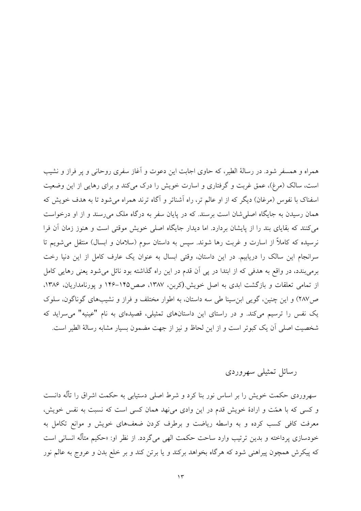همراه و همسفر شود. در رسالهٔ الطیر، که حاوی اجابت این دعوت و آغاز سفری روحانی و یر فراز و نشیب است، سالک (مرغ)، عمق غربت و گرفتاری و اسارت خویش را درک می کند و برای رهایی از این وضعیت اسفناک با نفوس (مرغان) دیگر که از او عالم تر، راه آشناتر و آگاه ترند همراه می شود تا به هدف خویش که همان رسیدن به جایگاه اصلی شان است برسند. که در پایان سفر به درگاه ملک می رسند و از او درخواست می کنند که بقایای بند را از پایشان بردارد. اما دیدار جایگاه اصلی خویش موقتی است و هنوز زمان آن فرا نرسیده که کاملاً از اسارت و غربت رها شوند. سپس به داستان سوم (سلامان و ابسال) منتقل می شویم تا سرانجام این سالک را دریابیم. در این داستان، وقتی ابسال به عنوان یک عارف کامل از این دنیا رخت برمی بندد، در واقع به هدفی که از ابتدا در یی آن قدم در این راه گذاشته بود نائل می شود یعنی رهایی کامل از تمامی تعلقات و بازگشت ابدی به اصل خویش.(کربن، ۱۳۸۷، صص1۴۵–۱۴۶ و پورنامداریان، ۱۳۸۶، ص١٨٧) و اين چنين، گويبي ابن سينا طي سه داستان، به اطوار مختلف و فراز و نشيبهاي گوناگون، سلوک یک نفس را ترسیم میکند. و در راستای این داستانهای تمثیلی، قصیدهای به نام "عینیه" می سراید که شخصیت اصلی آن یک کبوتر است و از این لحاظ و نیز از جهت مضمون بسیار مشابه رسالهٔ الطیر است.

# رسائل تمثيلي سهروردي

سهروردی حکمت خویش را بر اساس نور بنا کرد و شرط اصلی دستیابی به حکمت اشراق را تألُّه دانست و کسی که با همّت و ارادهٔ خویش قدم در این وادی می نهد همان کسی است که نسبت به نفس خویش، معرفت کافی کسب کرده و به واسطه ریاضت و برطرف کردن ضعفهای خویش و موانع تکامل به خودسازی پرداخته و بدین ترتیب وارد ساحت حکمت الهی میگردد. از نظر او: «حکیم متألّه انسانی است که پیکرش همچون پیراهنی شود که هرگاه بخواهد برکند و یا برتن کند و بر خلع بدن و عروج به عالم نور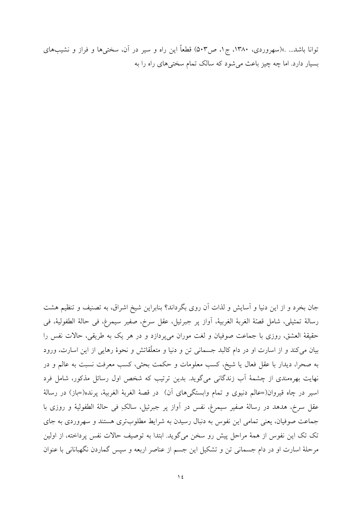توانا باشد... .»(سهروردی، ۱۳۸۰، ج۱، ص۵۰۳) قطعاً این راه و سیر در آن، سختبیها و فراز و نشیبهای بسیار دارد. اما چه چیز باعث می شود که سالک تمام سختی های راه را به

جان بخرد و از این دنیا و آسایش و لذات آن روی بگرداند؟ بنابراین شیخ اشراق، به تصنیف و تنظیم هشت رسالة تمثيلي، شامل قصّة الغربة الغربية، أواز پر جبرئيل، عقل سرخ، صفير سيمرغ، في حالة الطفولية، في حقيقهٔ العشق، روزي با جماعت صوفيان و لغت موران مي پردازد و در هر يک به طريقي، حالات نفس را بیان می کند و از اسارت او در دام کالبد جسمانی تن و دنیا و متعلّقاتش و نحوهٔ رهایی از این اسارت، ورود به صحرا، دیدار با عقل فعال یا شیخ، کسب معلومات و حکمت بحثی، کسب معرفت نسبت به عالم و در نهایت بهرهمندی از چشمهٔ آب زندگانی میگوید. بدین ترتیب که شخص اول رسائل مذکور، شامل فرد اسير در چاه قيروان(=عالم دنيوي و تمام وابستگيهاي آن) در قصهٔ الغربهٔ الغربيهٔ، پرنده(=باز) در رسالهٔ عقل سرخ، هدهد در رسالهٔ صفیر سیمرغ، نفس در آواز پر جبرئیل، سالکِ فی حالهٔ الطفولیهٔ و روزی با جماعت صوفیان، یعنی تمامی این نفوس به دنبال رسیدن به شرایط مطلوبتری هستند و سهروردی به جای تک تک این نفوس از همهٔ مراحل پیش رو سخن میگوید. ابتدا به توصیف حالات نفس پرداخته، از اولین مرحلهٔ اسارت او در دام جسمانی تن و تشکیل این جسم از عناصر اربعه و سپس گماردن نگهبانانی با عنوان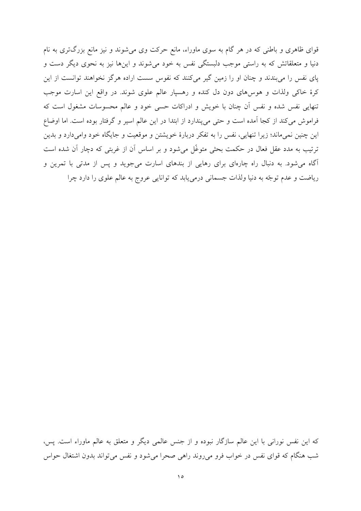قوای ظاهری و باطنی که در هر گام به سوی ماوراء، مانع حرکت وی میشوند و نیز مانع بزرگتری به نام دنیا و متعلقاتش که به راستی موجب دلبستگی نفس به خود میشوند و اینها نیز به نحوی دیگر دست و یای نفس را می بندند و چنان او را زمین گیر می کنند که نفوس سست اراده هرگز نخواهند توانست از این کرهٔ خاکی ولذات و هوس های دون دل کنده و رهسپار عالم علوی شوند. در واقع این اسارت موجب تنهایی نفس شده و نفس آن چنان با خویش و ادراکات حسی خود و عالم محسوسات مشغول است که فراموش می کند از کجا آمده است و حتی می پندارد از ابتدا در این عالم اسپر و گرفتار بوده است. اما اوضاع این چنین نمیماند؛ زیرا تنهایی، نفس را به تفکر دربارهٔ خویشتن و موقعیت و جایگاه خود وامیدارد و بدین ترتیب به مدد عقل فعال در حکمت بحثی متوغّل می شود و بر اساس آن از غربتی که دچار آن شده است آگاه می شود. به دنبال راه چارهای برای رهایی از بندهای اسارت می جوید و پس از مدتی با تمرین و ریاضت و عدم توجّه به دنیا ولذات جسمانی درمی یابد که توانایی عروج به عالم علوی را دارد چرا

که این نفس نورانی با این عالم سازگار نبوده و از جنس عالمی دیگر و متعلق به عالم ماوراء است. پس، شب هنگام که قوای نفس در خواب فرو میرروند راهی صحرا میشود و نفس میتواند بدون اشتغال حواس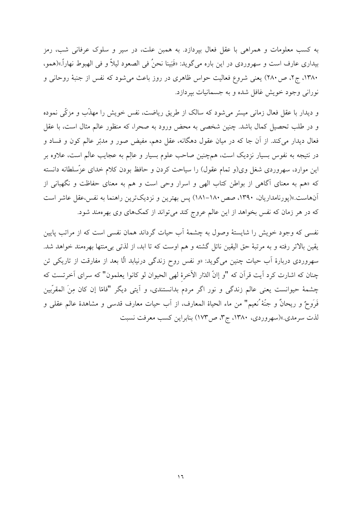به کسب معلومات و همراهی با عقل فعال بیردازد. به همبن علت، در سیر و سلوک عرفانی شب، رمز بیداری عارف است و سهروردی در این باره میگوید: «فَبَینا نحنُ فی الصعود لیلاً و فی الهبوط نهاراً.»(همو، ۱۳۸۰، ج۲، ص ۲۸۰) یعنی شروع فعالیت حواس ظاهری در روز باعث می شود که نفس از جنبهٔ روحانی و نوراني وجود خويش غافل شده و به جسمانيات بيردازد.

و دیدار با عقل فعال زمانی میسّر می شود که سالک از طریق ریاضت، نفس خویش را مهذّب و مزکّی نموده و در طلب تحصیل کمال باشد. چنین شخصی به محض ورود به صحرا، که منظور عالم مثال است، با عقل فعال دیدار میکند. از آن جا که در میان عقول دهگانه، عقل دهم، مفیض صور و مدبّر عالم کون و فساد و در نتیجه به نفوس بسیار نزدیک است، همچنین صاحب علوم بسیار و عالِم به عجایب عالَم است، علاوه بر این موارد، سهروردی شغل وی(و تمام عقول) را سیاحت کردن و حافظ بودن کلام خدای عزّسلطانه دانسته که «هم به معنای آگاهی از بواطن کتاب الهی و اسرار وحی است و هم به معنای حفاظت و نگهبانی از آنهاست.»(پورنامداریان، ۱۳۹۰، صص ۱۸۰–۱۸۱) پس بهترین و نزدیکترین راهنما به نفس،عقل عاشر است که در هر زمان که نفس بخواهد از این عالم عروج کند میتواند از کمکهای وی بهرهمند شود.

نفسی که وجود خویش را شایستهٔ وصول به چشمهٔ آب حیات گرداند همان نفسی است که از مراتب پایین یقین بالاتر رفته و به مرتبهٔ حق الیقین نائل گشته و هم اوست که تا ابد، از لذتی بی۵منتها بهرهمند خواهد شد. سهروردی دربارهٔ آب حیات چنین میگوید: «و نفس روح زندگی درنیابد الّا بعد از مفارقت از تاریکی تن چنان که اشارت کرد اّیت قراّن که "و إانّ الدّار الأخرهٔ لهی الحیوان لو کانوا یعلمون" که سرای اَخرتست که چشمهٔ حیوانست یعنی عالم زندگی و نور اگر مردم بدانستندی، و آیتی دیگر "فامّا إن کان مِنَ المقرّبین فَرَوحٌ و ريحانٌ و جنَّهْ نُعيم" من ماء الحياة المعارف، از أب حيات معارف قدسي و مشاهدة عالم عقلي و لذت سرمدي.»(سهروردي، ١٣٨٠، ج٣، ص١٧٣) بنابراين كسب معرفت نسبت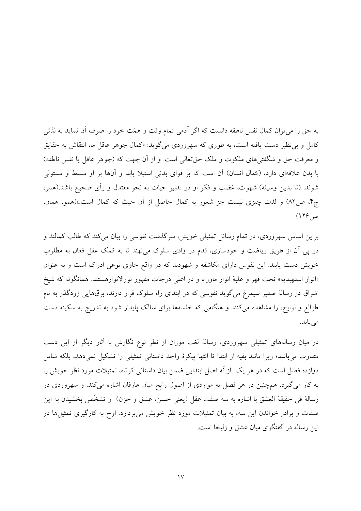به حق را می توان کمال نفس ناطقه دانست که اگر آدمی تمام وقت و همّت خود را صرف آن نماید به لذتی کامل و بی نظیر دست یافته است، به طوری که سهروردی میگوید: «کمال جوهر عاقل ما، انتقاش به حقایق و معرفت حق و شگفتی های ملکوت و ملک حق تعالی است. و از آن جهت که (جوهر عاقل یا نفس ناطقه) با بدن علاقهای دارد، (کمال انسان) آن است که بر قوای بدنی استیلا یابد و آنها بر او مسلط و مستولی شوند. (تا بدین وسیله) شهوت، غضب و فکر او در تدبیر حیات به نحو معتدل و رأی صحیح باشد.(همو، ج۴، ص٨٢) و لذت چیزی نیست جز شعور به کمال حاصل از آن حیث که کمال است.»(همو، همان، ص ۱۲۶)

براین اساس سهروردی، در تمام رسائل تمثیلی خویش، سرگذشت نفوسی را بیان می کند که طالب کمالند و در پی آن از طریق ریاضت و خودسازی، قدم در وادی سلوک می نهند تا به کمک عقل فعال به مطلوب خویش دست یابند. این نفوس دارای مکاشفه و شهودند که در واقع حاوی نوعی ادراک است و به عنوان «انوار اسفهبدیه» تحت قهر و غلبهٔ انوار ماوراء و در اعلی درجات مقهور نورالانوارهستند. همانگونه که شیخ اشراق در رسالهٔ صفیر سیمرغ میگوید نفوسی که در ابتدای راه سلوک قرار دارند، برقهایی زودگذر به نام طوالع و لوایح، را مشاهده می کنند و هنگامی که خلسهها برای سالک پایدار شود به تدریج به سکینه دست می یابد.

در میان رسالههای تمثیلی سهروردی، رسالهٔ لغت موران از نظر نوع نگارش با آثار دیگر از این دست متفاوت می باشد؛ زیرا مانند بقیه از ابتدا تا انتها پیکرهٔ واحد داستانی تمثیلی را تشکیل نمی دهد، بلکه شامل دوازده فصل است که در هر یک از نُه فصل ابتدایی ضمن بیان داستانی کوتاه، تمثیلات مورد نظر خویش را به کار میگیرد. همچنین در هر فصل به مواردی از اصول رایج میان عارفان اشاره میکند. و سهروردی در رسالهٔ فی حقیقهٔ العشق با اشاره به سه صفت عقل (یعنی حسن، عشق و حزن) و تشخّص بخشیدن به این صفات و برادر خواندن این سه، به بیان تمثیلات مورد نظر خویش میپردازد. اوج به کارگیری تمثیلها در این رساله در گفتگوی میان عشق و زلیخا است.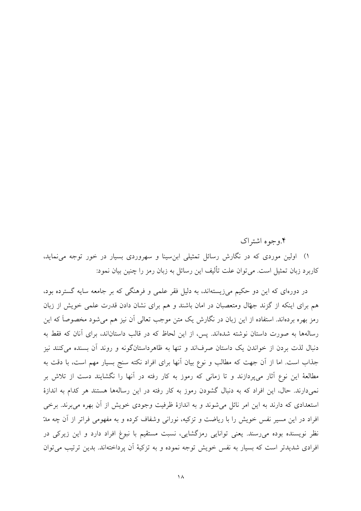۰۴ وجوه اشتراک

۱) اولین موردی که در نگارش رسائل تمثیلی ابنِ سینا و سهروردی بسیار در خور توجه می نماید، كاربرد زبان تمثيل است. مي توان علت تأليف اين رسائل به زبان رمز را چنين بيان نمود:

در دورهای که این دو حکیم می;زیستهاند، به دلیل فقر علمی و فرهنگی که بر جامعه سایه گسترده بود، هم برای اینکه از گزند جهّال ومتعصبان در امان باشند و هم برای نشان دادن قدرت علمی خویش از زبان رمز بهره بردهاند. استفاده از این زبان در نگارش یک متن موجب تعالی آن نیز هم میشود مخصوصاً که این رسالهها به صورت داستان نوشته شدهاند. پس، از این لحاظ که در قالب داستاناند، برای آنان که فقط به دنبال لذت بردن از خواندن یک داستان صرفاند و تنها به ظاهرداستانگونه و روند آن بسنده می کنند نیز جذاب است. اما از آن جهت که مطالب و نوع بیان آنها برای افراد نکته سنج بسیار مهم است، با دقت به مطالعهٔ این نوع آثار می،یردازند و تا زمانی که رموز به کار رفته در آنها را نگشایند دست از تلاش بر نمی دارند. حال، این افراد که به دنبال گشودن رموز به کار رفته در این رسالهها هستند هر کدام به اندازهٔ استعدادی که دارند به این امر نائل می شوند و به اندازهٔ ظرفیت وجودی خویش از آن بهره می برند. برخی افراد در این مسیر نفس خویش را با ریاضت و تزکیه، نورانی وشفاف کرده و به مفهومی فراتر از آن چه مدّ نظر نویسنده بوده میرسند. یعنی توانایی رمزگشایی، نسبت مستقیم با نبوغ افراد دارد و این زیرکی در افرادی شدیدتر است که بسیار به نفس خویش توجه نموده و به تزکیهٔ آن پرداختهاند. بدین ترتیب می توان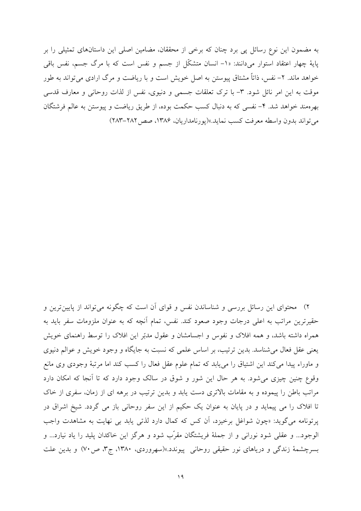به مضمون این نوع رسائل یی برد چنان که برخی از محققان، مضامین اصلی این داستانهای تمثیلی را بر پایهٔ چهار اعتقاد استوار میدانند: «۱– انسان متشکّل از جسم و نفس است که با مرگ جسم، نفس باقی خواهد ماند. ۲- نفس، ذاتاً مشتاق پیوستن به اصل خویش است و با ریاضت و مرگ ارادی می تواند به طور موقت به این امر نائل شود. ٣- با ترک تعلقات جسمی و دنیوی، نفس از لذات روحانی و معارف قدسی بهرهمند خواهد شد. ۴- نفسی که به دنبال کسب حکمت بوده، از طریق ریاضت و پیوستن به عالم فرشتگان مي تواند بدون واسطه معرفت كسب نمايد.»(يورنامداريان، ١٣٨۶، صص ٢٨٢–٢٨٣)

۲) محتوای این رسائل بررسی و شناساندن نفس و قوای آن است که چگونه میتواند از پایینترین و حقيرترين مراتب به اعلى درجات وجود صعود كند. نفس، تمام أنچه كه به عنوان ملزومات سفر بايد به همراه داشته باشد، و همه افلاک و نفوس و اجسامشان و عقول مدبّر این افلاک را توسط راهنمای خویش یعنی عقل فعال میشناسد. بدین ترتیب، بر اساس علمی که نسبت به جایگاه و وجود خویش و عوالم دنیوی و ماوراء پیدا میکند این اشتیاق را می یابد که تمام علوم عقل فعال را کسب کند اما مرتبهٔ وجودی وی مانع وقوع چنین چیزی می شود. به هر حال این شور و شوق در سالک وجود دارد که تا آنجا که امکان دارد مراتب باطن را پیموده و به مقامات بالاتری دست یابد و بدین ترتیب در برهه ای از زمان، سفری از خاک تا افلاک را می پیماید و در پایان به عنوان یک حکیم از این سفر روحانی باز می گردد. شیخ اشراق در پرتونامه مي گويد: «چون شواغل برخيزد، اَن كس كه كمال دارد لذتي پابد بي نهايت به مشاهدت واجب الوجود... و عقلي شود نوراني و از جملهٔ فريشتگان مقرّب شود و هرگز اين خاكدان پليد را ياد نيارد... و بسرچشمهٔ زندگی و دریاهای نور حقیقی روحانی پیوندد.»(سهروردی، ۱۳۸۰، ج۳، ص۷۰) و بدین علت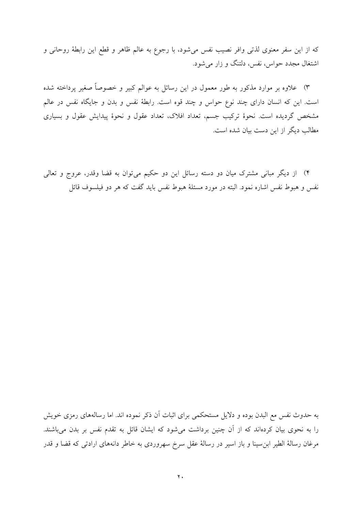كه از اين سفر معنوى لذتي وافر نصيب نفس مي شود، با رجوع به عالم ظاهر و قطع اين رابطهٔ روحاني و اشتغال مجدد حواس، نفس، دلتنگ و زار می شود.

۳) علاوه بر موارد مذکور به طور معمول در این رسائل به عوالم کبیر و خصوصاً صغیر پرداخته شده است. این که انسان دارای چند نوع حواس و چند قوه است. رابطهٔ نفس و بدن و جایگاه نفس در عالم مشخص گردیده است. نحوهٔ ترکیب جسم، تعداد افلاک، تعداد عقول و نحوهٔ پیدایش عقول و بسیاری مطالب دیگر از این دست بیان شده است.

۴) از دیگر مبانی مشترک میان دو دسته رسائل این دو حکیم میتوان به قضا وقدر، عروج و تعالی نفس و هبوط نفس اشاره نمود. البته در مورد مسئلهٔ هبوط نفس باید گفت که هر دو فیلسوف قائل

به حدوث نفس مع البدن بوده و دلایل مستحکمی برای اثبات آن ذکر نموده اند. اما رسالههای رمزی خویش را به نحوی بیان کردهاند که از آن چنین برداشت میشود که ایشان قائل به تقدم نفس بر بدن میباشند. مرغان رسالهٔ الطیر ابنِ سینا و باز اسیر در رسالهٔ عقل سرخ سهروردی به خاطر دانههای ارادتی که قضا و قدر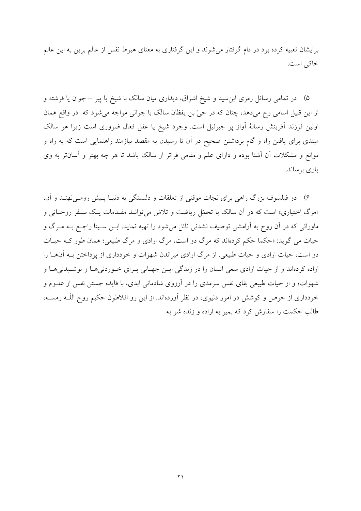برایشان تعبیه کرده بود در دام گرفتار می شوند و این گرفتاری به معنای هبوط نفس از عالم برین به این عالم خاکی است.

۵) در تمامی رسائل رمزی ابن سینا و شیخ اشراق، دیداری میان سالک با شیخ یا پیر – جوان یا فرشته و از این قبیل اسامی رخ می۵هد، چنان که در حیّ بن یقظان سالک با جوانی مواجه میشود که در واقع همان اولین فرزند آفرینش رسالهٔ آواز پر جبرئیل است. وجود شیخ یا عقل فعال ضروری است زیرا هر سالک مبتدی برای یافتن راه و گام برداشتن صحیح در آن تا رسیدن به مقصد نیازمند راهنمایی است که به راه و موانع و مشکلات آن آشنا بوده و دارای علم و مقامی فراتر از سالک باشد تا هر چه بهتر و آسانتر به وی ياري پرساند.

۶) ً دو فیلسوف بزرگ راهی برای نجات موقتی از تعلقات و دلبستگی به دنیـا پـیش رومـی(نهنــد و آن، «مرگ اختیاری» است که در آن سالک با تحمّل ریاضت و تلاش می توانـد مقـدمات یـک سـفر روحـانی و ماورائی که در آن روح به آرامشی توصیف نشدنی نائل میشود را تهیه نماید. ابـن سـینا راجـع بـه مـرگ و حیات می گوید: «حکما حکم کردهاند که مرگ دو است، مرگ ارادی و مرگ طبیعی؛ همان طور کـه حیـات دو است، حیات ارادی و حیات طبیعی. از مرگ ارادی میراندن شهوات و خودداری از پرداختن بـه آنهــا را اراده کردهاند و از حیات ارادی سعی انسان را در زندگی ایـن جهـانی بـرای خـوردنیهـا و نوشـیدنیهـا و شهوات؛ و از حیات طبیعی بقای نفس سرمدی را در آرزوی شادمانی ابدی، با فایده جستن نفس از علـوم و خودداری از حرص و کوشش در امور دنیوی، در نظر آوردهاند. از این رو افلاطون حکیم روح اللّــه رمســه، طالب حکمت را سفارش کرد که بمیر به اراده و زنده شو به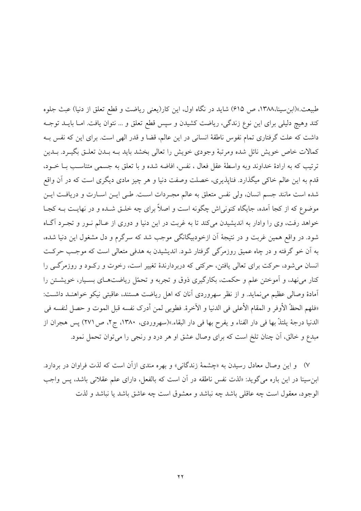طبیعت.»(ابن سینا،۱۳۸۸، ص ۶۱۵) شاید در نگاه اول، این کار(یعنی ریاضت و قطع تعلق از دنیا) عبث جلوه كند وهيچ دليلي براي اين نوع زندگي، رياضت كشيدن و سيس قطع تعلق و ... نتوان يافت. امـا بايــد توجــه داشت که علت گرفتاری تمام نفوس ناطقهٔ انسانی در این عالم، قضا و قدر الهی است. برای این که نفس بــه كمالات خاص خويش نائل شده ومرتبهٔ وجودي خويش را تعالى بخشد بايد بــه بــدن تعلــق بگيــرد. بــدين ترتيب كه به ارادهٔ خداوند وبه واسطهٔ عقل فعال ، نفس، افاضه شده و با تعلق به جسمي متناسب بــا خــود، قدم به این عالم خاکی میگذارد. فناپذیری، خصلت وصفت دنیا و هر چیز مادی دیگری است که در آن واقع شده است مانند جسم انسان، ولي نفس متعلق به عالم مجـردات اسـت. طـي ايــن اســارت و دريافــت ايــن موضوع که از کجا آمده، جایگاه کنونی اش چگونه است و اصلاً برای چه خلـق شـده و در نهایـت بــه کجــا خواهد رفت، وي را وادار به انديشيدن مي كند تا به غربت در اين دنيا و دوري از عـالم نـور و تجـرد آگـاه شود. در واقع همین غربت و در نتیجهٔ آن ازخودبیگانگی موجب شد که سرگرم و دل مشغول این دنیا شده، به آن خو گرفته و در چاه عمیق روزمرگی گرفتار شود. اندیشیدن به هدفی متعالی است که موجب حرکت انسان می شود، حرکت برای تعالی یافتن، حرکتی که دربردارندهٔ تغییر است، رخوت و رکود و روزمرگے را کنار مینهد، و اَموختن علم و حکمت، بکارگیری ذوق و تجربه و تحمّل ریاضتهـای بسـیار، خویشـتن را آمادهٔ وصالی عظیم می نماید. و از نظر سهروردی آنان که اهل ریاضت هستند، عاقبتی نیکو خواهنـد داشـت: «فلهم الحظّ الأوفر و المقام الأعلى في الدنيا و الآخرة. فطوبي لمن أدرك نفسه قبل الموت و حصل لنفسه في الدنيا درجة يلتذَّ بها في دار الفناء و يفرح بها في دار البقاء.»(سهروردي، ١٣٨٠، ج٢، ص٢٧١) يس هجران از مبدع و خالق، أن چنان تلخ است كه براى وصال عشق او هر درد و رنجى را مىتوان تحمل نمود.

۷) و این وصال معادل رسیدن به «چشمهٔ زندگانی» و بهره مندی ازآن است که لذت فراوان در بردارد. ابن سینا در این باره می گوید: «لذت نفس ناطقه در آن است که بالفعل، دارای علم عقلانی باشد، پس واجب الوجود، معقول است چه عاقلي باشد چه نباشد و معشوق است چه عاشق باشد یا نباشد و لذت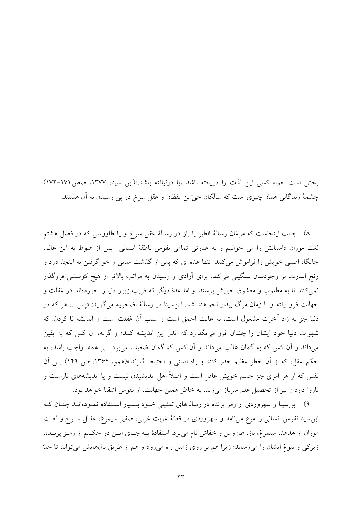بخش است خواه کسی این لذت را دریافته باشد ،یا درنیافته باشد.»(ابن سینا، ۱۳۷۷، صص ۱۷۱–۱۷۲) چشمهٔ زندگانی همان چیزی است که سالکان حیّ بن یقظان و عقل سرخ در پی رسیدن به آن هستند.

٨) جالب اینجاست که مرغان رسالهٔ الطیر یا باز در رسالهٔ عقل سرخ و یا طاووسی که در فصل هشتم لغت موران داستانش را می خوانیم و به عبارتی تمامی نفوس ناطقهٔ انسانی پس از هبوط به این عالم، جایگاه اصلی خویش را فراموش میکنند. تنها عده ای که پس از گذشت مدتی و خو گرفتن به اینجا، درد و رنج اسارت بر وجودشان سنگینی می کند، برای آزادی و رسیدن به مراتب بالاتر از هیچ کوششی فروگذار نمی کنند تا به مطلوب و معشوق خویش برسند. و اما عدهٔ دیگر که فریب زیور دنیا را خوردهاند در غفلت و جهالت فرو رفته و تا زمان مرگ بیدار نخواهند شد. ابن سینا در رسالهٔ اضحویه می گوید: «پس … هر که در دنیا جز به زاد آخرت مشغول است، به غایت احمق است و سبب آن غفلت است و اندیشه نا کردن: که شهوات دنیا خود ایشان را چندان فرو می نگذارد که اندر این اندیشه کنند؛ و گرنه، آن کس که به یقین میداند و آن کس که به گمان غالب میداند و آن کس که گمان ضعیف میبرد –بر همه–واجب باشد، به حکم عقل، که از آن خطر عظیم حذر کنند و راه ایمنی و احتیاط گیرند.»(همو، ۱۳۶۴، ص ۱۴۹) پس آن نفس که از هر امری جز جسم خویش غافل است و اصلاً اهل اندیشیدن نیست و یا اندیشههای ناراست و ناروا دارد و نیز از تحصیل علم سرباز میزند، به خاطر همین جهالت، از نفوس اشقیا خواهد بود.

۹) ابن سینا و سهروردی از رمز پرنده در رسالههای تمثیلی خـود بسـیار اسـتفاده نمـودهانـد چنـان کـه ابن سينا نفوس انساني را مرغ مي نامد و سهروردي در قصّهٔ غربت غربي، صفير سيمرغ، عقـل سـرخ و لغـت موران از هدهد، سیمرغ، باز، طاووس و خفاش نام می برد. استفادهٔ بــه جـای ایــن دو حکـیم از رمــز پرنــده، زیرکی و نبوغ ایشان را می رساند؛ زیرا هم بر روی زمین راه می رود و هم از طریق بال&ایش می تواند تا حدّ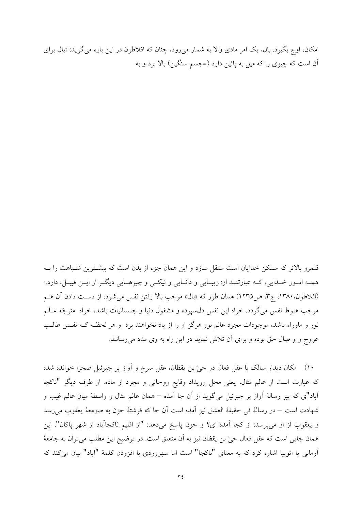امکان، اوج بگیرد. بال، یک امر مادی والا به شمار می رود، چنان که افلاطون در این باره می گوید: «بال برای آن است که چیزی را که میل به پائین دارد (=جسم سنگین) بالا برد و به

قلمرو بالاتر که مسکن خدایان است منتقل سازد و این همان جزء از بدن است که بیشـترین شـباهت را بــه همـه امـور خـدايي، كـه عبارتنـد از: زيبـايي و دانـايي و نيكـي و چيزهـايي ديگـر از ايــن قبيـل، دارد.» (افلاطون، ۱۳۸۰، ج۳، ص١٢٣٥) همان طور كه «بال» موجب بالا رفتن نفس مي شود، از دست دادن آن هـم موجب هبوط نفس مي گردد. خواه اين نفس دل سيرده و مشغول دنيا و جسمانيات باشد، خواه ً متوجّه عــالـم نور و ماوراء باشد، موجودات مجرد عالم نور هرگز او را از یاد نخواهند برد و هر لحظـه کـه نفـس طالـب عروج و و صال حق بوده و برای آن تلاش نماید در این راه به وی مدد میرسانند.

۱۰) مکان دیدار سالک با عقل فعال در حیّ بن یقظان، عقل سرخ و آواز پر جبرئیل صحرا خوانده شده که عبارت است از عالم مثال، یعنی محل رویداد وقایع روحانی و مجرد از ماده. از طرف دیگر "ناکجا آباد"ی که پیر رسالهٔ آواز پر جبرئیل میگوید از آن جا آمده – همان عالم مثال و واسطهٔ میان عالم غیب و شهادت است – در رسالهٔ فی حقیقهٔ العشق نیز آمده است آن جا که فرشتهٔ حزن به صومعهٔ یعقوب میرسد و يعقوب از او مىپرسد: از كجا آمده اى؟ و حزن پاسخ مىدهد: "از اقليم ناكجاآباد از شهر پاكان". اين همان جایی است که عقل فعال حیّ بن یقظان نیز به آن متعلق است. در توضیح این مطلب می توان به جامعهٔ آرمانی یا اتوپیا اشاره کرد که به معنای "ناکجا" است اما سهروردی با افزودن کلمهٔ "آباد" بیان میکند که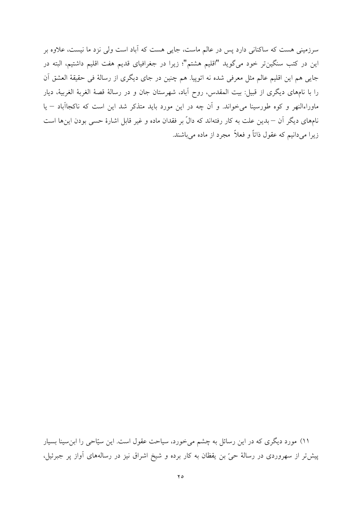سرزمینی هست که ساکنانی دارد پس در عالم ماست، جایی هست که آباد است ولی نزد ما نیست، علاوه بر این در کتب سنگینتر خود میگوید "اقلیم هشتم"؛ زیرا در جغرافیای قدیم هفت اقلیم داشتیم، البته در جایی هم این اقلیم عالم مثل معرفی شده نه اتوپیا. هم چنین در جای دیگری از رسالهٔ فی حقیقهٔ العشق آن را با نامهای دیگری از قبیل: بیت المقدس، روح آباد، شهرستان جان و در رسالهٔ قصهٔ الغربهٔ الغربیهٔ، دیار ماوراءالنهر و کوه طورسینا میخواند. و آن چه در این مورد باید متذکر شد این است که ناکجاآباد – یا نامهای دیگر آن — بدین علت به کار رفتهاند که دالّ بر فقدان ماده و غیر قابل اشارهٔ حسی بودن اینها است زیرا میدانیم که عقول ذاتاً و فعلاً ً مجرد از ماده میباشند.

۱۱) مورد دیگری که در این رسائل به چشم میخورد، سیاحت عقول است. این سیّاحی را ابنِسینا بسیار پیشتر از سهروردی در رسالهٔ حیّ بن یقظان به کار برده و شیخ اشراق نیز در رسالههای آواز پر جبرئیل،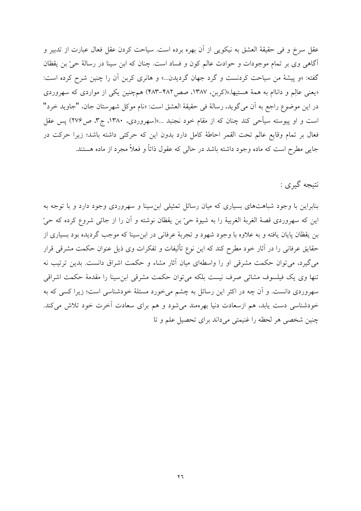عقل سرخ و في حقيقهٔ العشق به نيكويي از آن بهره برده است. سياحت كردن عقل فعال عبارت از تدبير و آگاهی وی بر تمام موجودات و حوادث عالم کون و فساد است. چنان که ابن سینا در رسالهٔ حیّ بن یقظان گفته: «و پیشهٔ من سیاحت کردنست و گرد جهان گردیدن...» و هانری کربن آن را چنین شرح کرده است: «یعنی عالِم و داناام به همهٔ هستیها.»(کربن، ۱۳۸۷، صص۱۳۸۲–۴۸۳) همچنین یکی از مواردی که سهروردی در اين موضوع راجع به أن مي گويد، رسالة في حقيقة العشق است: «نام موكل شهرستان جان، "جاويد خرد" است و او پیوسته سیآحی کند چنان که از مقام خود نجنبد ...»(سهروردی، ۱۳۸۰، ج۳، ص۲۷۶) پس عقل فعال بر تمام وقايع عالم تحت القمر احاطة كامل دارد بدون اين كه حركتي داشته باشد؛ زيرا حركت در جایبی مطرح است که ماده وجود داشته باشد در حالبی که عقول ذاتاً و فعلاً مجرد از ماده هستند.

نتيجه گيري :

بنابراین با وجود شباهتهای بسیاری که میان رسائل تمثیلی ابن سینا و سهروردی وجود دارد و با توجه به اين كه سهروردي قصهٔ الغربهٔ الغربيهٔ را به شيوهٔ حيّ بن يقظان نوشته و آن را از جائي شروع كرده كه حيّ بن يقظان پايان يافته و به علاوه با وجود شهود و تجربهٔ عرفاني در ابن سينا كه موجب گرديده بود بسياري از حقایق عرفانی را در آثار خود مطرح کند که این نوع تألیفات و تفکرات وی ذیل عنوان حکمت مشرقی قرار می گیرد، می توان حکمت مشرقی او را واسطهای میان آثار مشاء و حکمت اشراق دانست. بدین ترتیب نه تنها وی یک فیلسوف مشائی صرف نیست بلکه میتوان حکمت مشرقی ابن سینا را مقدمهٔ حکمت اشراقی سهروردی دانست. و آن چه در اکثر این رسائل به چشم میخورد مسئلهٔ خودشناسی است؛ زیرا کسی که به خودشناسی دست یابد، هم ازسعادت دنیا بهرهمند میشود و هم برای سعادت آخرت خود تلاش میکند. چنین شخصی هر لحظه را غنیمتی میداند برای تحصیل علم و تا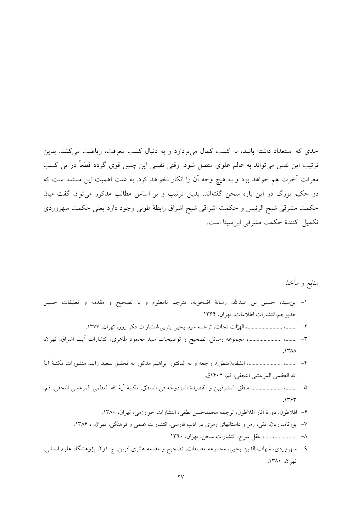حدی که استعداد داشته باشد، به کسب کمال میپردازد و به دنبال کسب معرفت، ریاضت میکشد. بدین ترتیب این نفس میتواند به عالم علوی متصل شود. وقتی نفسی این چنین قوی گردد قطعاً در پی کسب معرفت آخرت هم خواهد بود و به هیچ وجه آن را انکار نخواهد کرد. به علت اهمیت این مسئله است که دو حکیم بزرگ در این باره سخن گفتهاند. بدین ترتیب و بر اساس مطالب مذکور میتوان گفت میان حكمت مشرقي شيخ الرئيس و حكمت اشراقي شيخ اشراق رابطهٔ طولي وجود دارد يعني حكمت سهروردي تكميل كنندة حكمت مشرقي ابن سينا است.

منابع و مأخذ

- ١- ابنِ سينا، حسين بن عبدالله، رسالة اضحويه، مترجم نامعلوم و با تصحيح و مقدمه و تعليقات حسين خديوجم،انتشارات اطلاعات، تهران، ١٣۶۴.
	-
- ٣- ........، .......................... مجموعه رسائل، تصحيح و توضيحات سيد محمود طاهرى، انتشارات أيت اشراق، تهران،  $\Lambda$ ۳۸۸
- ۴– ………، ………………….» الشفاء(منطق)، راجعه و له الدكتور ابراهيم مدكور به تحقيق سعيد زايد، منشورات مكتبهٔ آيهٔ الله العظمى المرعشى النجفى، قم، ١٤٠۴ق.
- 0- ........، ..................... منطق المشرقيين و القصيدة المزدوجه في المنطق، مكتبة آية الله العظمى المرعشى النجفي، قم،  $.1157$ 
	- ۶– افلاطون، دورهٔ آثار افلاطون، ترجمه محمدحسن لطفي، انتشارات خوارزمي، تهران، ۱۳۸۰.
	- ۷– پورنامداریان، تقی، رمز و داستانهای رمزی در ادب فارسی، انتشارات علمی و فرهنگی، تهران، ۱۳۸۶.
		- ٨– ................ .....، عقل سرخ، انتشارات سخن، تهران، ١٣٩٠.
- ۹– سهروردی، شهاب الدین یحیی، مجموعه مصنفات، تصحیح و مقدمه هانری کربن، ج ۱و۲، پژوهشگاه علوم انسانی، تهران، ١٣٨٠.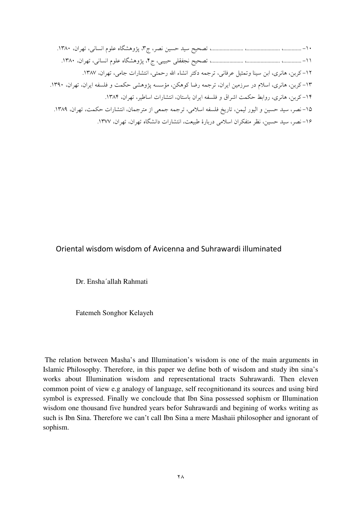#### Oriental wisdom wisdom of Avicenna and Suhrawardi illuminated

Dr. Ensha'allah Rahmati

Fatemeh Songhor Kelayeh

The relation between Masha's and Illumination's wisdom is one of the main arguments in Islamic Philosophy. Therefore, in this paper we define both of wisdom and study ibn sina's works about Illumination wisdom and representational tracts Suhrawardi. Then eleven common point of view e.g analogy of language, self recognitionand its sources and using bird symbol is expressed. Finally we concloude that Ibn Sina possessed sophism or Illumination wisdom one thousand five hundred years befor Suhrawardi and begining of works writing as such is Ibn Sina. Therefore we can't call Ibn Sina a mere Mashaii philosopher and ignorant of sophism.